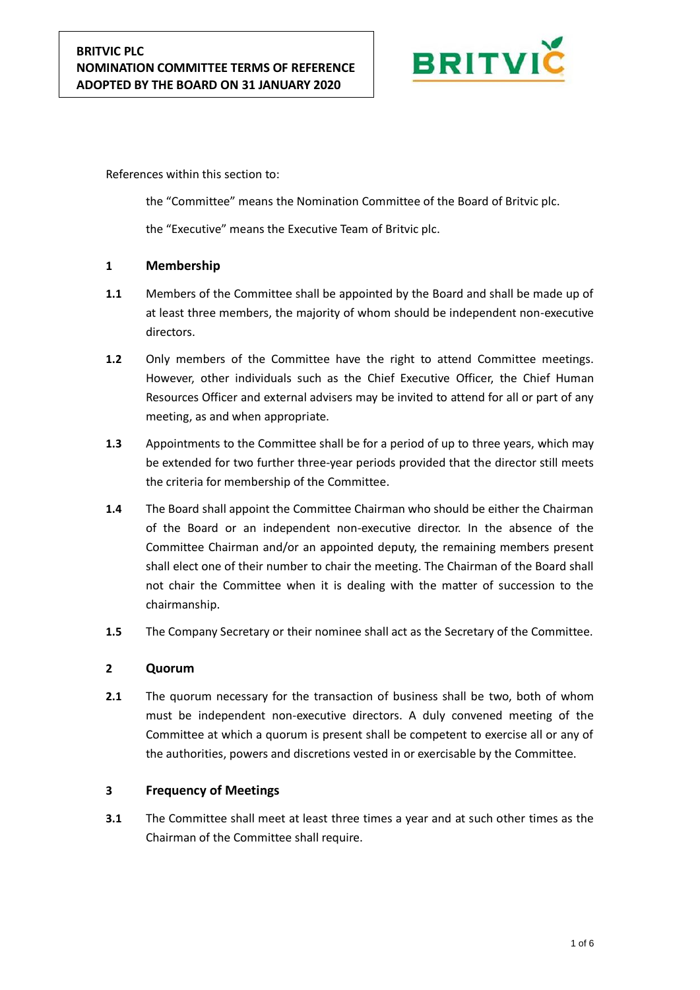

References within this section to:

the "Committee" means the Nomination Committee of the Board of Britvic plc.

the "Executive" means the Executive Team of Britvic plc.

# **1 Membership**

- **1.1** Members of the Committee shall be appointed by the Board and shall be made up of at least three members, the majority of whom should be independent non-executive directors.
- **1.2** Only members of the Committee have the right to attend Committee meetings. However, other individuals such as the Chief Executive Officer, the Chief Human Resources Officer and external advisers may be invited to attend for all or part of any meeting, as and when appropriate.
- **1.3** Appointments to the Committee shall be for a period of up to three years, which may be extended for two further three-year periods provided that the director still meets the criteria for membership of the Committee.
- **1.4** The Board shall appoint the Committee Chairman who should be either the Chairman of the Board or an independent non-executive director. In the absence of the Committee Chairman and/or an appointed deputy, the remaining members present shall elect one of their number to chair the meeting. The Chairman of the Board shall not chair the Committee when it is dealing with the matter of succession to the chairmanship.
- **1.5** The Company Secretary or their nominee shall act as the Secretary of the Committee.

### **2 Quorum**

**2.1** The quorum necessary for the transaction of business shall be two, both of whom must be independent non-executive directors. A duly convened meeting of the Committee at which a quorum is present shall be competent to exercise all or any of the authorities, powers and discretions vested in or exercisable by the Committee.

### **3 Frequency of Meetings**

**3.1** The Committee shall meet at least three times a year and at such other times as the Chairman of the Committee shall require.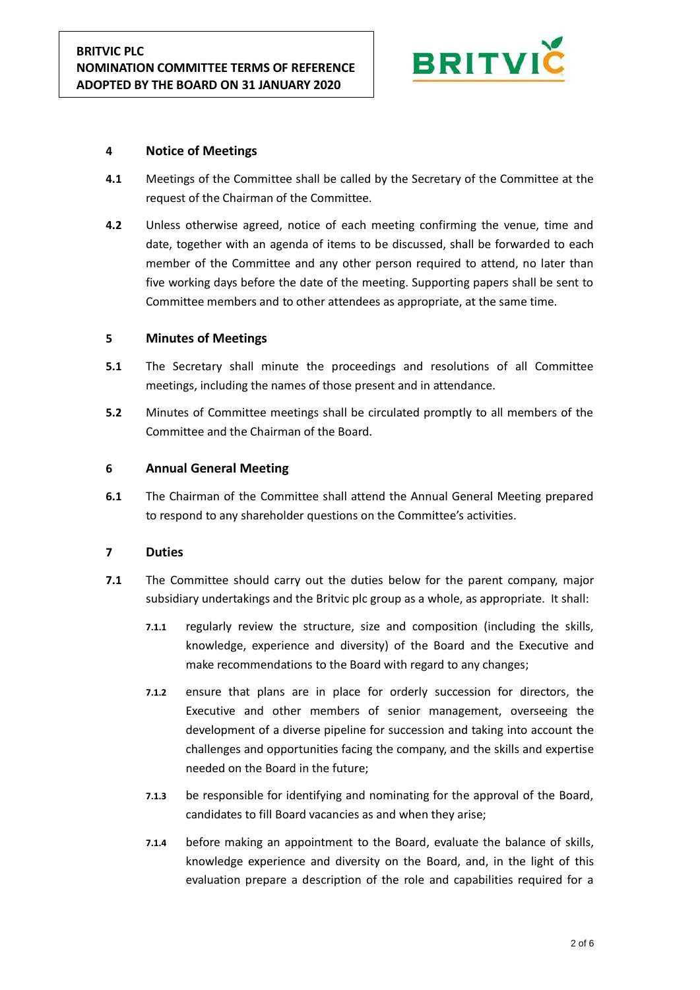

# **4 Notice of Meetings**

- **4.1** Meetings of the Committee shall be called by the Secretary of the Committee at the request of the Chairman of the Committee.
- **4.2** Unless otherwise agreed, notice of each meeting confirming the venue, time and date, together with an agenda of items to be discussed, shall be forwarded to each member of the Committee and any other person required to attend, no later than five working days before the date of the meeting. Supporting papers shall be sent to Committee members and to other attendees as appropriate, at the same time.

### **5 Minutes of Meetings**

- **5.1** The Secretary shall minute the proceedings and resolutions of all Committee meetings, including the names of those present and in attendance.
- **5.2** Minutes of Committee meetings shall be circulated promptly to all members of the Committee and the Chairman of the Board.

# **6 Annual General Meeting**

**6.1** The Chairman of the Committee shall attend the Annual General Meeting prepared to respond to any shareholder questions on the Committee's activities.

### **7 Duties**

- **7.1** The Committee should carry out the duties below for the parent company, major subsidiary undertakings and the Britvic plc group as a whole, as appropriate. It shall:
	- **7.1.1** regularly review the structure, size and composition (including the skills, knowledge, experience and diversity) of the Board and the Executive and make recommendations to the Board with regard to any changes;
	- **7.1.2** ensure that plans are in place for orderly succession for directors, the Executive and other members of senior management, overseeing the development of a diverse pipeline for succession and taking into account the challenges and opportunities facing the company, and the skills and expertise needed on the Board in the future;
	- **7.1.3** be responsible for identifying and nominating for the approval of the Board, candidates to fill Board vacancies as and when they arise;
	- **7.1.4** before making an appointment to the Board, evaluate the balance of skills, knowledge experience and diversity on the Board, and, in the light of this evaluation prepare a description of the role and capabilities required for a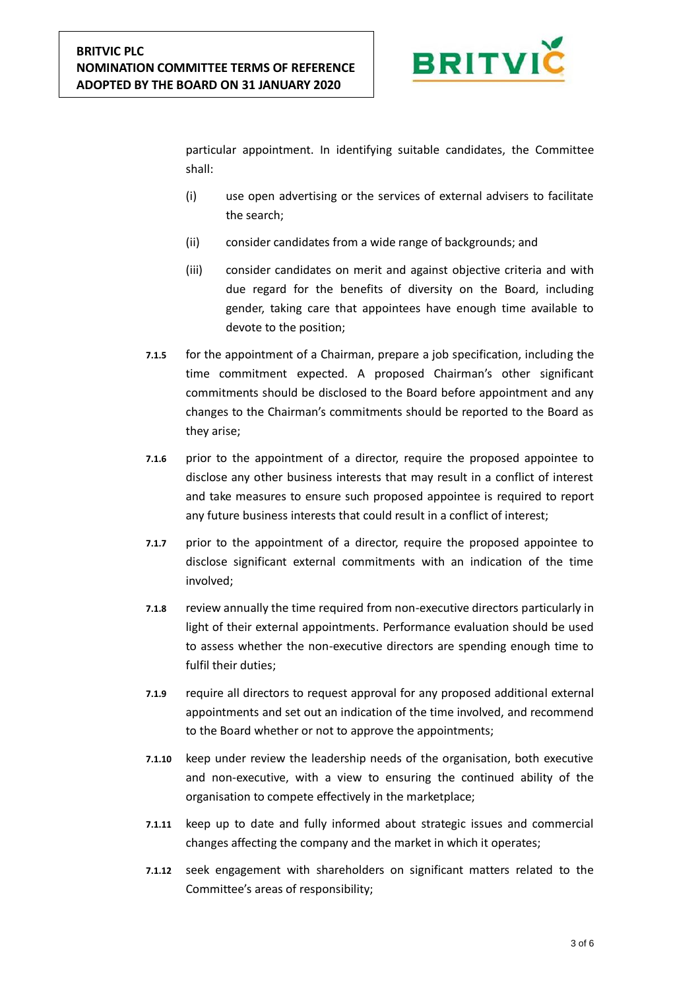

particular appointment. In identifying suitable candidates, the Committee shall:

- (i) use open advertising or the services of external advisers to facilitate the search;
- (ii) consider candidates from a wide range of backgrounds; and
- (iii) consider candidates on merit and against objective criteria and with due regard for the benefits of diversity on the Board, including gender, taking care that appointees have enough time available to devote to the position;
- **7.1.5** for the appointment of a Chairman, prepare a job specification, including the time commitment expected. A proposed Chairman's other significant commitments should be disclosed to the Board before appointment and any changes to the Chairman's commitments should be reported to the Board as they arise;
- **7.1.6** prior to the appointment of a director, require the proposed appointee to disclose any other business interests that may result in a conflict of interest and take measures to ensure such proposed appointee is required to report any future business interests that could result in a conflict of interest;
- **7.1.7** prior to the appointment of a director, require the proposed appointee to disclose significant external commitments with an indication of the time involved;
- **7.1.8** review annually the time required from non-executive directors particularly in light of their external appointments. Performance evaluation should be used to assess whether the non-executive directors are spending enough time to fulfil their duties;
- **7.1.9** require all directors to request approval for any proposed additional external appointments and set out an indication of the time involved, and recommend to the Board whether or not to approve the appointments;
- **7.1.10** keep under review the leadership needs of the organisation, both executive and non-executive, with a view to ensuring the continued ability of the organisation to compete effectively in the marketplace;
- **7.1.11** keep up to date and fully informed about strategic issues and commercial changes affecting the company and the market in which it operates;
- **7.1.12** seek engagement with shareholders on significant matters related to the Committee's areas of responsibility;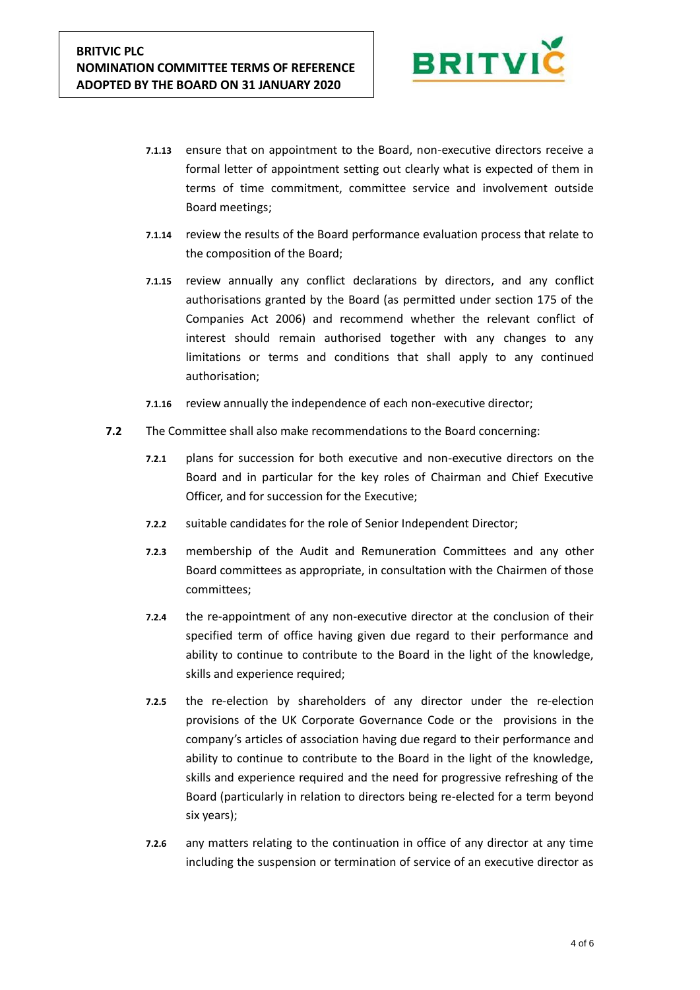

- **7.1.13** ensure that on appointment to the Board, non-executive directors receive a formal letter of appointment setting out clearly what is expected of them in terms of time commitment, committee service and involvement outside Board meetings;
- **7.1.14** review the results of the Board performance evaluation process that relate to the composition of the Board;
- **7.1.15** review annually any conflict declarations by directors, and any conflict authorisations granted by the Board (as permitted under section 175 of the Companies Act 2006) and recommend whether the relevant conflict of interest should remain authorised together with any changes to any limitations or terms and conditions that shall apply to any continued authorisation;
- **7.1.16** review annually the independence of each non-executive director;
- **7.2** The Committee shall also make recommendations to the Board concerning:
	- **7.2.1** plans for succession for both executive and non-executive directors on the Board and in particular for the key roles of Chairman and Chief Executive Officer, and for succession for the Executive;
	- **7.2.2** suitable candidates for the role of Senior Independent Director;
	- **7.2.3** membership of the Audit and Remuneration Committees and any other Board committees as appropriate, in consultation with the Chairmen of those committees;
	- **7.2.4** the re-appointment of any non-executive director at the conclusion of their specified term of office having given due regard to their performance and ability to continue to contribute to the Board in the light of the knowledge, skills and experience required;
	- **7.2.5** the re-election by shareholders of any director under the re-election provisions of the UK Corporate Governance Code or the provisions in the company's articles of association having due regard to their performance and ability to continue to contribute to the Board in the light of the knowledge, skills and experience required and the need for progressive refreshing of the Board (particularly in relation to directors being re-elected for a term beyond six years);
	- **7.2.6** any matters relating to the continuation in office of any director at any time including the suspension or termination of service of an executive director as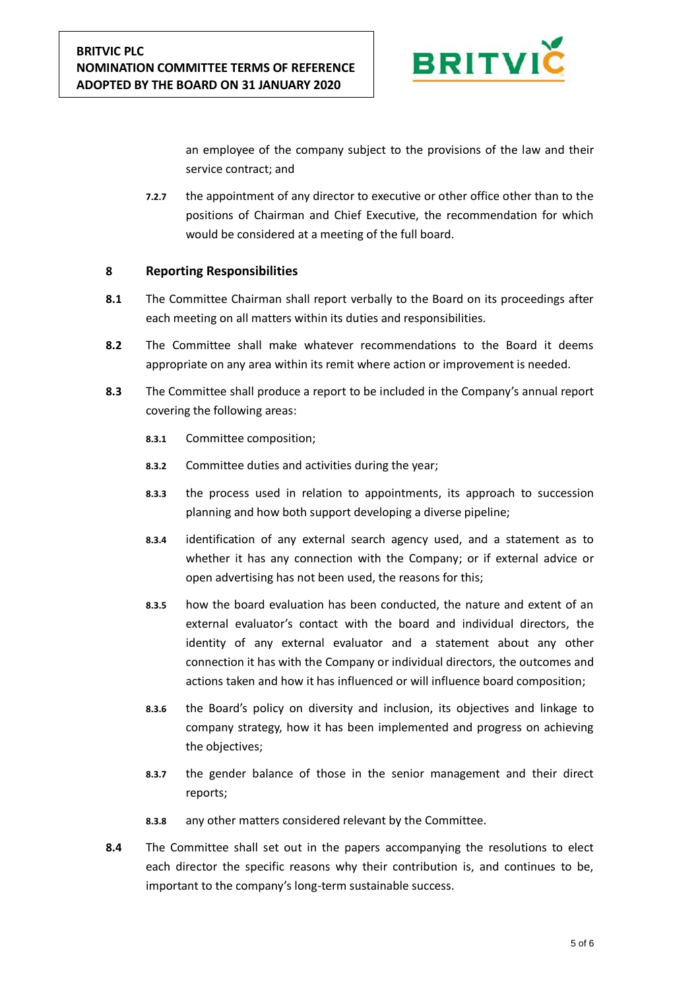

an employee of the company subject to the provisions of the law and their service contract; and

**7.2.7** the appointment of any director to executive or other office other than to the positions of Chairman and Chief Executive, the recommendation for which would be considered at a meeting of the full board.

# **8 Reporting Responsibilities**

- **8.1** The Committee Chairman shall report verbally to the Board on its proceedings after each meeting on all matters within its duties and responsibilities.
- **8.2** The Committee shall make whatever recommendations to the Board it deems appropriate on any area within its remit where action or improvement is needed.
- **8.3** The Committee shall produce a report to be included in the Company's annual report covering the following areas:
	- **8.3.1** Committee composition;
	- **8.3.2** Committee duties and activities during the year;
	- **8.3.3** the process used in relation to appointments, its approach to succession planning and how both support developing a diverse pipeline;
	- **8.3.4** identification of any external search agency used, and a statement as to whether it has any connection with the Company; or if external advice or open advertising has not been used, the reasons for this;
	- **8.3.5** how the board evaluation has been conducted, the nature and extent of an external evaluator's contact with the board and individual directors, the identity of any external evaluator and a statement about any other connection it has with the Company or individual directors, the outcomes and actions taken and how it has influenced or will influence board composition;
	- **8.3.6** the Board's policy on diversity and inclusion, its objectives and linkage to company strategy, how it has been implemented and progress on achieving the objectives;
	- **8.3.7** the gender balance of those in the senior management and their direct reports;
	- **8.3.8** any other matters considered relevant by the Committee.
- **8.4** The Committee shall set out in the papers accompanying the resolutions to elect each director the specific reasons why their contribution is, and continues to be, important to the company's long-term sustainable success.